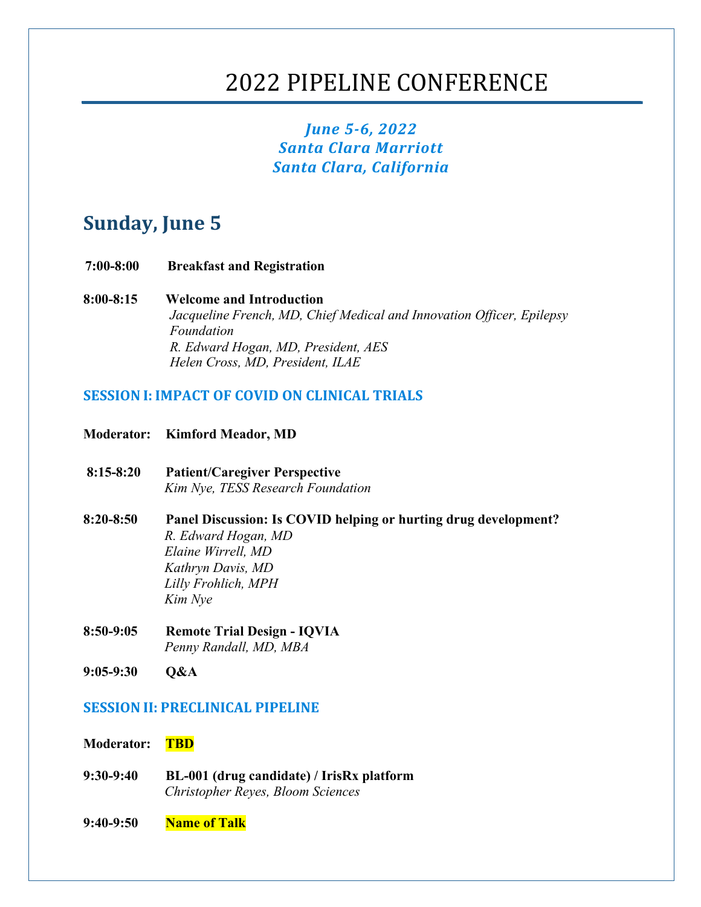# 2022 PIPELINE CONFERENCE

## *June 5-6, 2022 Santa Clara Marriott Santa Clara, California*

## **Sunday, June 5**

- **7:00-8:00 Breakfast and Registration**
- **8:00-8:15 Welcome and Introduction** *Jacqueline French, MD, Chief Medical and Innovation Officer, Epilepsy Foundation R. Edward Hogan, MD, President, AES Helen Cross, MD, President, ILAE*

## **SESSION I: IMPACT OF COVID ON CLINICAL TRIALS**

- **Moderator: Kimford Meador, MD**
- **8:15-8:20 Patient/Caregiver Perspective** *Kim Nye, TESS Research Foundation*
- **8:20-8:50 Panel Discussion: Is COVID helping or hurting drug development?** *R. Edward Hogan, MD Elaine Wirrell, MD Kathryn Davis, MD Lilly Frohlich, MPH Kim Nye*
- **8:50-9:05 Remote Trial Design - IQVIA** *Penny Randall, MD, MBA*
- **9:05-9:30 Q&A**

## **SESSION II: PRECLINICAL PIPELINE**

#### **Moderator: TBD**

- **9:30-9:40 BL-001 (drug candidate) / IrisRx platform** *Christopher Reyes, Bloom Sciences*
- **9:40-9:50 Name of Talk**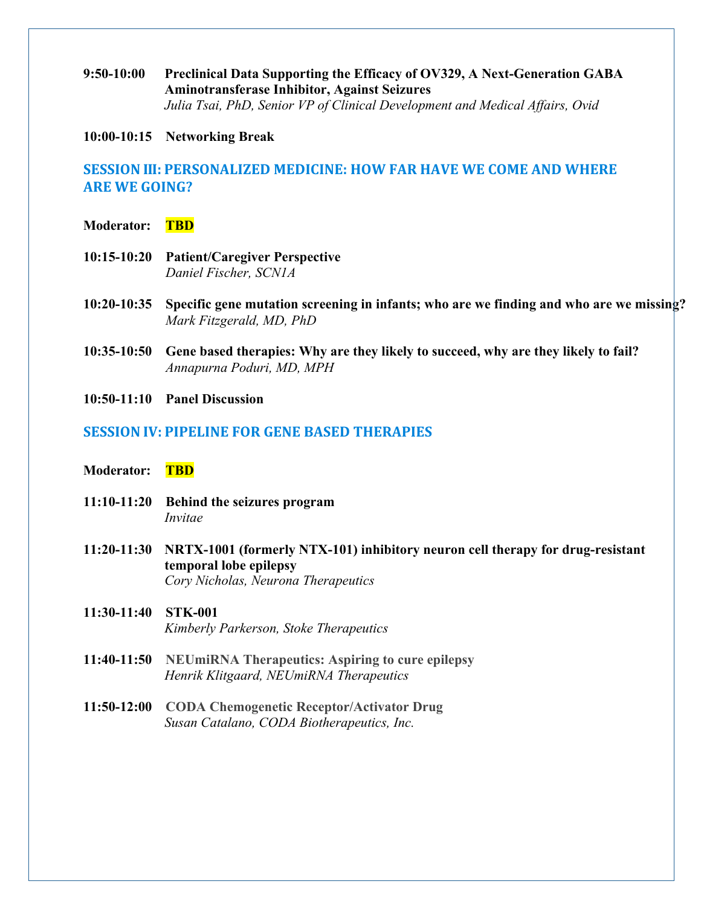**9:50-10:00 Preclinical Data Supporting the Efficacy of OV329, A Next-Generation GABA Aminotransferase Inhibitor, Against Seizures** *Julia Tsai, PhD, Senior VP of Clinical Development and Medical Affairs, Ovid*

#### **10:00-10:15 Networking Break**

## **SESSION III: PERSONALIZED MEDICINE: HOW FAR HAVE WE COME AND WHERE ARE WE GOING?**

- **Moderator: TBD**
- **10:15-10:20 Patient/Caregiver Perspective** *Daniel Fischer, SCN1A*
- **10:20-10:35 Specific gene mutation screening in infants; who are we finding and who are we missing?** *Mark Fitzgerald, MD, PhD*
- **10:35-10:50 Gene based therapies: Why are they likely to succeed, why are they likely to fail?** *Annapurna Poduri, MD, MPH*
- **10:50-11:10 Panel Discussion**

## **SESSION IV: PIPELINE FOR GENE BASED THERAPIES**

- **Moderator: TBD**
- **11:10-11:20 Behind the seizures program** *Invitae*
- **11:20-11:30 NRTX-1001 (formerly NTX-101) inhibitory neuron cell therapy for drug-resistant temporal lobe epilepsy** *Cory Nicholas, Neurona Therapeutics*
- **11:30-11:40 STK-001** *Kimberly Parkerson, Stoke Therapeutics*
- **11:40-11:50 NEUmiRNA Therapeutics: Aspiring to cure epilepsy** *Henrik Klitgaard, NEUmiRNA Therapeutics*
- **11:50-12:00 CODA Chemogenetic Receptor/Activator Drug** *Susan Catalano, CODA Biotherapeutics, Inc.*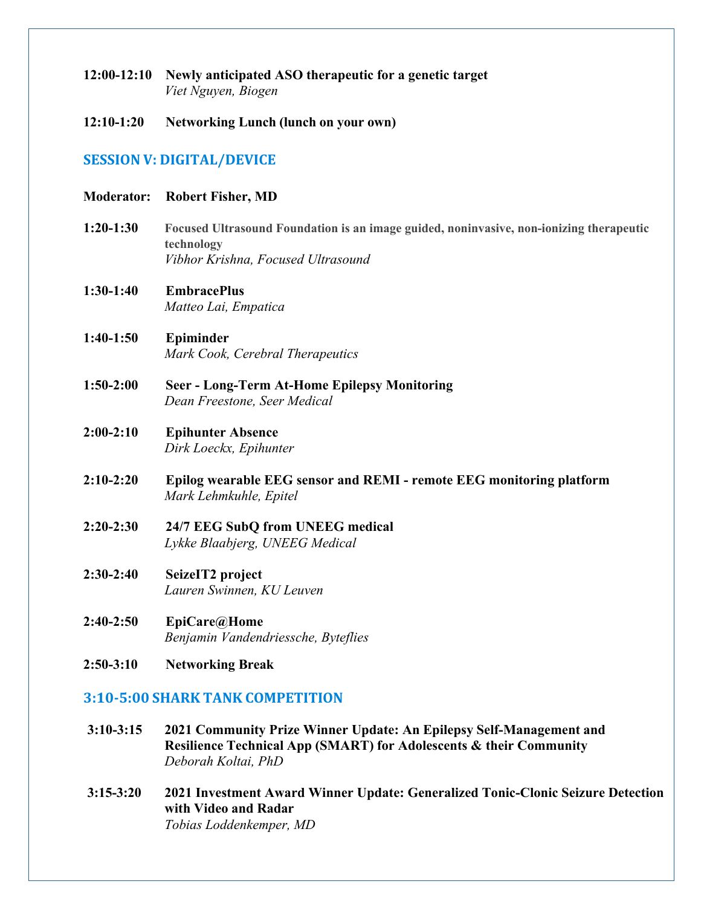- **12:00-12:10 Newly anticipated ASO therapeutic for a genetic target** *Viet Nguyen, Biogen*
- **12:10-1:20 Networking Lunch (lunch on your own)**

## **SESSION V: DIGITAL/DEVICE**

#### **Moderator: Robert Fisher, MD**

- **1:20-1:30 Focused Ultrasound Foundation is an image guided, noninvasive, non-ionizing therapeutic technology** *Vibhor Krishna, Focused Ultrasound*
- **1:30-1:40 EmbracePlus** *Matteo Lai, Empatica*
- **1:40-1:50 Epiminder** *Mark Cook, Cerebral Therapeutics*
- **1:50-2:00 Seer - Long-Term At-Home Epilepsy Monitoring** *Dean Freestone, Seer Medical*

## **2:00-2:10 Epihunter Absence** *Dirk Loeckx, Epihunter*

- **2:10-2:20 Epilog wearable EEG sensor and REMI - remote EEG monitoring platform** *Mark Lehmkuhle, Epitel*
- **2:20-2:30 24/7 EEG SubQ from UNEEG medical** *Lykke Blaabjerg, UNEEG Medical*
- **2:30-2:40 SeizeIT2 project** *Lauren Swinnen, KU Leuven*
- **2:40-2:50 EpiCare@Home** *Benjamin Vandendriessche, Byteflies*
- **2:50-3:10 Networking Break**

## **3:10-5:00 SHARK TANK COMPETITION**

- **3:10-3:15 2021 Community Prize Winner Update: An Epilepsy Self-Management and Resilience Technical App (SMART) for Adolescents & their Community** *Deborah Koltai, PhD*
- **3:15-3:20 2021 Investment Award Winner Update: Generalized Tonic-Clonic Seizure Detection with Video and Radar** *Tobias Loddenkemper, MD*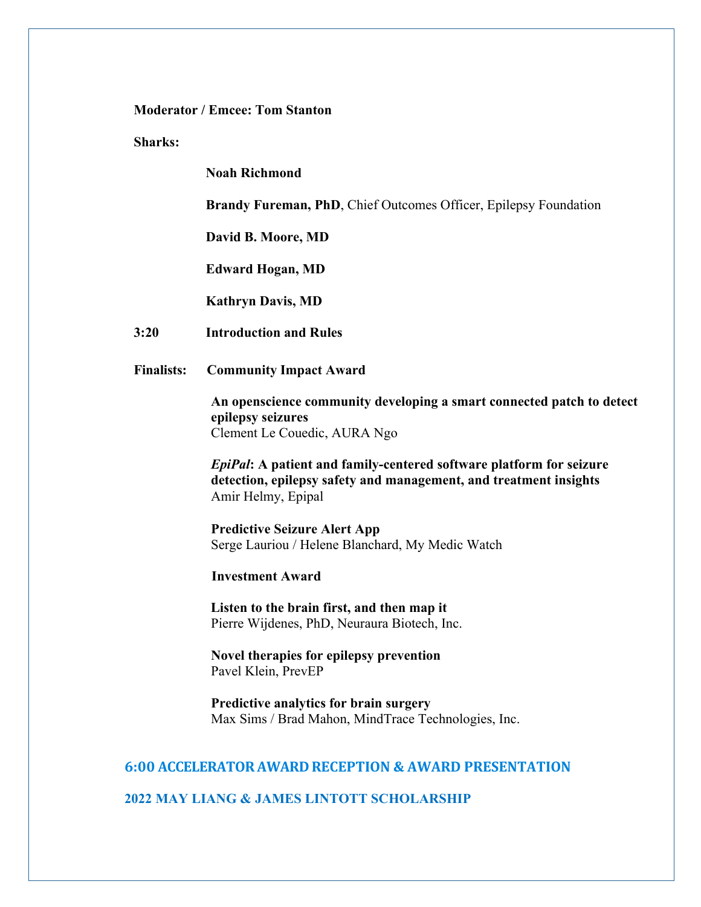### **Moderator / Emcee: Tom Stanton**

**Sharks:**

**Noah Richmond**

**Brandy Fureman, PhD**, Chief Outcomes Officer, Epilepsy Foundation

**David B. Moore, MD**

**Edward Hogan, MD**

**Kathryn Davis, MD**

- **3:20 Introduction and Rules**
- **Finalists: Community Impact Award**

**An openscience community developing a smart connected patch to detect epilepsy seizures** Clement Le Couedic, AURA Ngo

*EpiPal***: A patient and family-centered software platform for seizure detection, epilepsy safety and management, and treatment insights** Amir Helmy, Epipal

**Predictive Seizure Alert App** Serge Lauriou / Helene Blanchard, My Medic Watch

**Investment Award**

**Listen to the brain first, and then map it** Pierre Wijdenes, PhD, Neuraura Biotech, Inc.

**Novel therapies for epilepsy prevention** Pavel Klein, PrevEP

**Predictive analytics for brain surgery** Max Sims / Brad Mahon, MindTrace Technologies, Inc.

### **6:00 ACCELERATOR AWARD RECEPTION & AWARD PRESENTATION**

#### **2022 MAY LIANG & JAMES LINTOTT SCHOLARSHIP**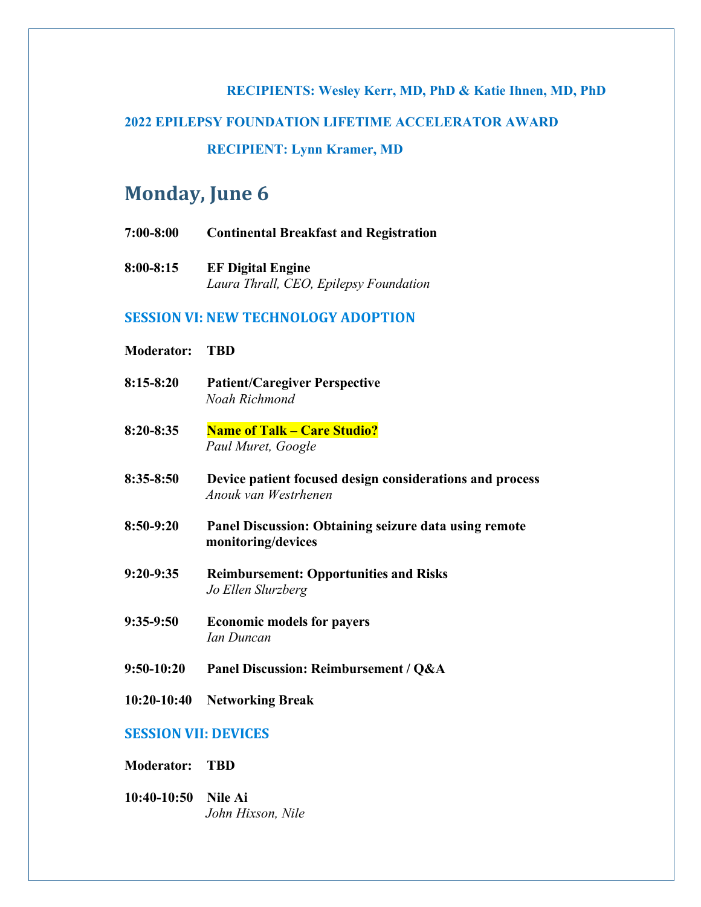## **RECIPIENTS: Wesley Kerr, MD, PhD & Katie Ihnen, MD, PhD**

## **2022 EPILEPSY FOUNDATION LIFETIME ACCELERATOR AWARD**

**RECIPIENT: Lynn Kramer, MD**

## **Monday, June 6**

- **7:00-8:00 Continental Breakfast and Registration**
- **8:00-8:15 EF Digital Engine** *Laura Thrall, CEO, Epilepsy Foundation*

## **SESSION VI: NEW TECHNOLOGY ADOPTION**

| <b>Moderator:</b>           | <b>TBD</b>                                                                       |
|-----------------------------|----------------------------------------------------------------------------------|
| $8:15 - 8:20$               | <b>Patient/Caregiver Perspective</b><br>Noah Richmond                            |
| $8:20 - 8:35$               | <b>Name of Talk - Care Studio?</b><br>Paul Muret, Google                         |
| $8:35 - 8:50$               | Device patient focused design considerations and process<br>Anouk van Westrhenen |
| $8:50-9:20$                 | Panel Discussion: Obtaining seizure data using remote<br>monitoring/devices      |
| $9:20-9:35$                 | <b>Reimbursement: Opportunities and Risks</b><br>Jo Ellen Slurzberg              |
| $9:35-9:50$                 | <b>Economic models for payers</b><br>Ian Duncan                                  |
| $9:50-10:20$                | Panel Discussion: Reimbursement / Q&A                                            |
| $10:20-10:40$               | <b>Networking Break</b>                                                          |
| <b>SESSION VII: DEVICES</b> |                                                                                  |

- **Moderator: TBD**
- **10:40-10:50 Nile Ai** *John Hixson, Nile*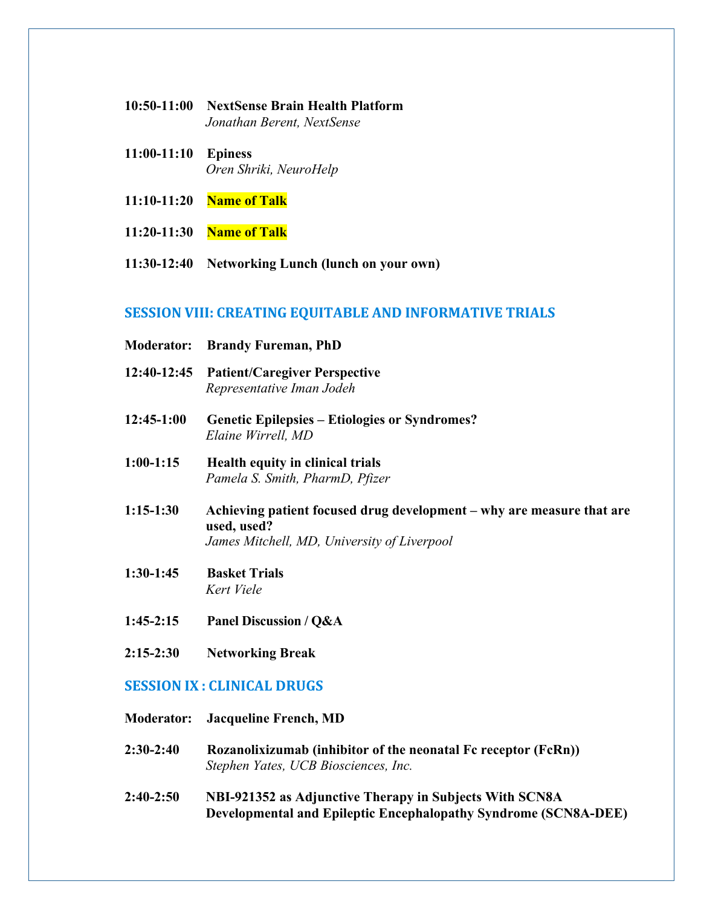- **10:50-11:00 NextSense Brain Health Platform** *Jonathan Berent, NextSense*
- **11:00-11:10 Epiness** *Oren Shriki, NeuroHelp*
- **11:10-11:20 Name of Talk**
- **11:20-11:30 Name of Talk**
- **11:30-12:40 Networking Lunch (lunch on your own)**

#### **SESSION VIII: CREATING EQUITABLE AND INFORMATIVE TRIALS**

- **Moderator: Brandy Fureman, PhD**
- **12:40-12:45 Patient/Caregiver Perspective** *Representative Iman Jodeh*
- **12:45-1:00 Genetic Epilepsies – Etiologies or Syndromes?** *Elaine Wirrell, MD*
- **1:00-1:15 Health equity in clinical trials** *Pamela S. Smith, PharmD, Pfizer*
- **1:15-1:30 Achieving patient focused drug development – why are measure that are used, used?** *James Mitchell, MD, University of Liverpool*
- **1:30-1:45 Basket Trials** *Kert Viele*
- **1:45-2:15 Panel Discussion / Q&A**
- **2:15-2:30 Networking Break**

## **SESSION IX : CLINICAL DRUGS**

- **Moderator: Jacqueline French, MD**
- **2:30-2:40 Rozanolixizumab (inhibitor of the neonatal Fc receptor (FcRn))** *Stephen Yates, UCB Biosciences, Inc.*
- **2:40-2:50 NBI-921352 as Adjunctive Therapy in Subjects With SCN8A Developmental and Epileptic Encephalopathy Syndrome (SCN8A-DEE)**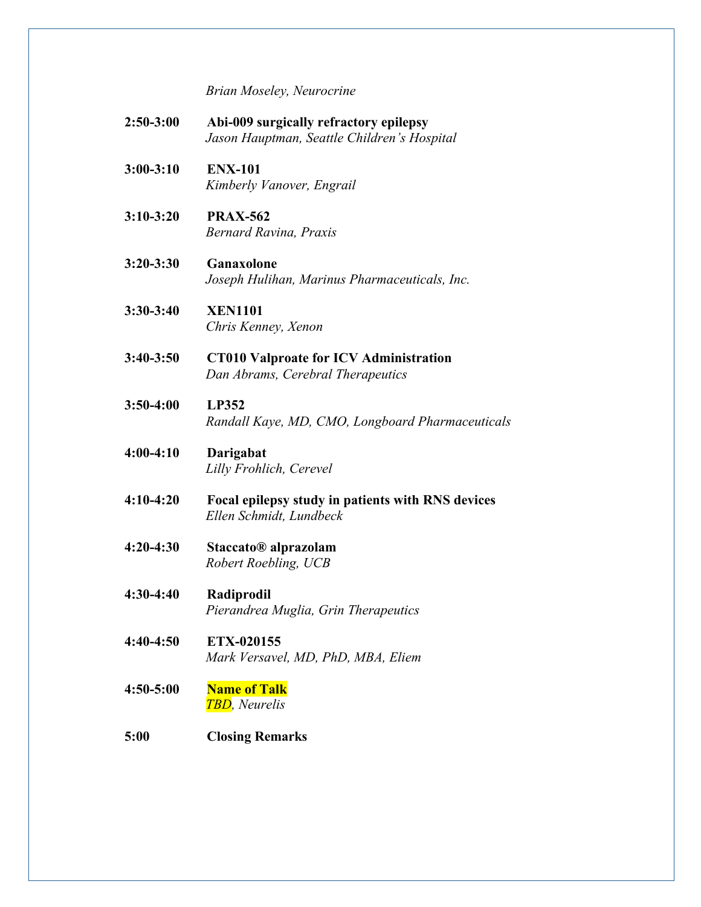*Brian Moseley, Neurocrine*

| $2:50-3:00$   | Abi-009 surgically refractory epilepsy<br>Jason Hauptman, Seattle Children's Hospital |
|---------------|---------------------------------------------------------------------------------------|
| $3:00-3:10$   | <b>ENX-101</b><br>Kimberly Vanover, Engrail                                           |
| $3:10-3:20$   | <b>PRAX-562</b><br><b>Bernard Ravina, Praxis</b>                                      |
| $3:20 - 3:30$ | Ganaxolone<br>Joseph Hulihan, Marinus Pharmaceuticals, Inc.                           |
| $3:30-3:40$   | <b>XEN1101</b><br>Chris Kenney, Xenon                                                 |
| $3:40 - 3:50$ | <b>CT010 Valproate for ICV Administration</b><br>Dan Abrams, Cerebral Therapeutics    |
| $3:50-4:00$   | LP352<br>Randall Kaye, MD, CMO, Longboard Pharmaceuticals                             |
| $4:00-4:10$   | Darigabat<br>Lilly Frohlich, Cerevel                                                  |
| $4:10-4:20$   | Focal epilepsy study in patients with RNS devices<br>Ellen Schmidt, Lundbeck          |
| $4:20-4:30$   | Staccato <sup>®</sup> alprazolam<br>Robert Roebling, UCB                              |
| $4:30-4:40$   | Radiprodil<br>Pierandrea Muglia, Grin Therapeutics                                    |
| $4:40-4:50$   | ETX-020155<br>Mark Versavel, MD, PhD, MBA, Eliem                                      |
| $4:50 - 5:00$ | <b>Name of Talk</b><br><b>TBD</b> , Neurelis                                          |
| 5:00          | <b>Closing Remarks</b>                                                                |